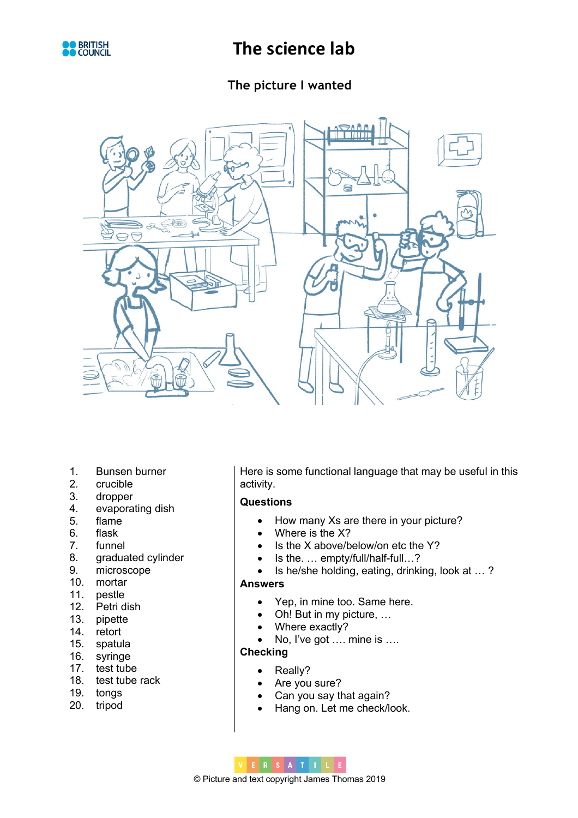

# **The picture I wanted**



- 1. Bunsen burner
- 2. crucible
- 3. dropper
- 4. evaporating dish
- 5. flame
- 6. flask
- 7. funnel
- 8. graduated cylinder
- 9. microscope
- 10. mortar
- 11. pestle
- 12. Petri dish
- 13. pipette
- 14. retort
- 15. spatula
- 16. syringe
- 17. test tube
- 18. test tube rack
- 19. tongs
- 20. tripod

Here is some functional language that may be useful in this activity.

#### **Questions**

- How many Xs are there in your picture?
- Where is the X?
- Is the X above/below/on etc the Y?
- Is the. ... empty/full/half-full...?
- Is he/she holding, eating, drinking, look at … ?

#### **Answers**

- Yep, in mine too. Same here.
- Oh! But in my picture, …
- Where exactly?
- No, I've got …. mine is ….

### **Checking**

- Really?
- Are you sure?
- Can you say that again?
- Hang on. Let me check/look.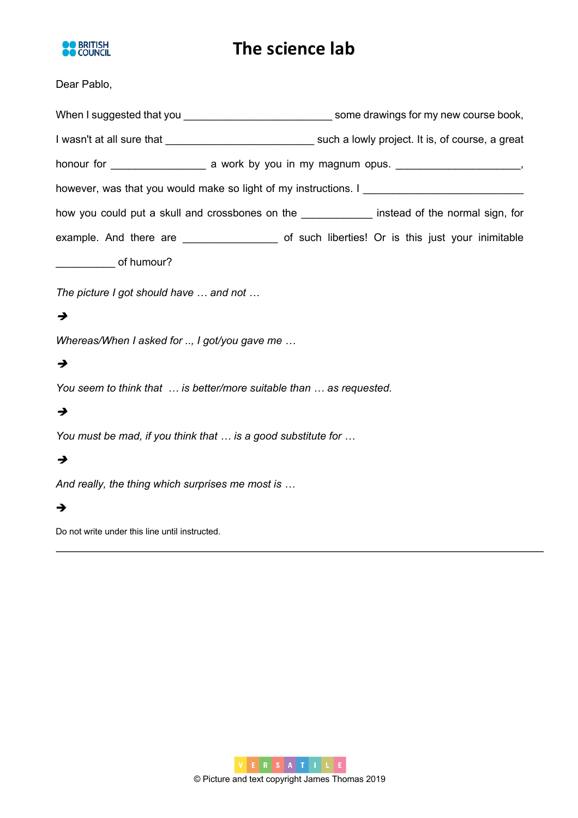

### Dear Pablo,

|                                                                                  | When I suggested that you <b>contain the set of the set of the set of the set of the set of the set of the set of the set of the set of the set of the set of the set of the set of the set of the set of the set of the set of </b> |
|----------------------------------------------------------------------------------|--------------------------------------------------------------------------------------------------------------------------------------------------------------------------------------------------------------------------------------|
|                                                                                  |                                                                                                                                                                                                                                      |
|                                                                                  |                                                                                                                                                                                                                                      |
| however, was that you would make so light of my instructions. I ________________ |                                                                                                                                                                                                                                      |
|                                                                                  | how you could put a skull and crossbones on the _____________ instead of the normal sign, for                                                                                                                                        |
|                                                                                  |                                                                                                                                                                                                                                      |
| ___________________ of humour?                                                   |                                                                                                                                                                                                                                      |
| The picture Last should be use and not                                           |                                                                                                                                                                                                                                      |

# *The picture I got should have … and not …*

### $\rightarrow$

*Whereas/When I asked for .., I got/you gave me …*

### è

*You seem to think that … is better/more suitable than … as requested.* 

## $\rightarrow$

*You must be mad, if you think that … is a good substitute for …*

# è

*And really, the thing which surprises me most is …*

### $\rightarrow$

Do not write under this line until instructed.

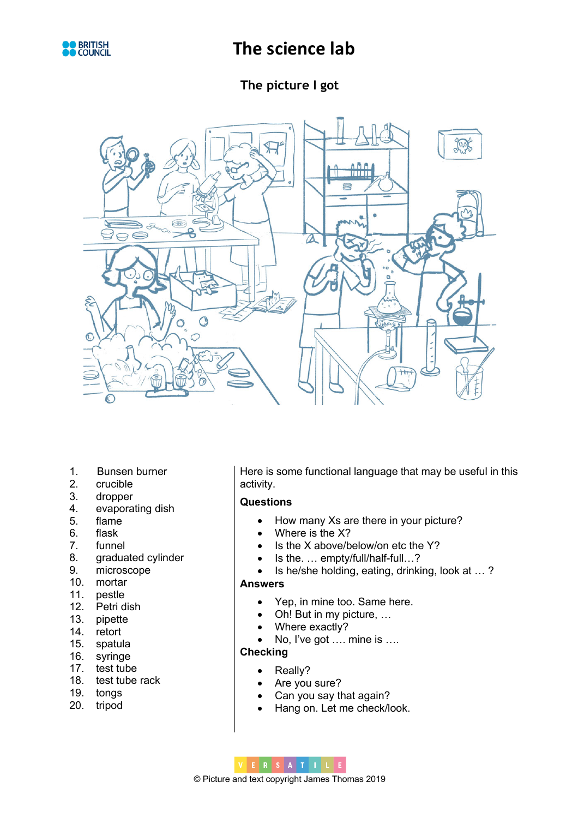

# **The picture I got**



- 1. Bunsen burner
- 2. crucible
- 3. dropper
- 4. evaporating dish
- 5. flame
- 6. flask
- 7. funnel
- 8. graduated cylinder
- 9. microscope
- 10. mortar
- 11. pestle
- 12. Petri dish
- 13. pipette
- 14. retort
- 15. spatula
- 16. syringe
- 17. test tube
- 18. test tube rack
- 19. tongs
- 20. tripod

Here is some functional language that may be useful in this activity.

#### **Questions**

- How many Xs are there in your picture?
- Where is the X?
- Is the X above/below/on etc the Y?
- Is the. ... empty/full/half-full...?
- Is he/she holding, eating, drinking, look at … ?

#### **Answers**

- Yep, in mine too. Same here.
- Oh! But in my picture, …
- Where exactly?
- No, I've got …. mine is ….

### **Checking**

- Really?
- Are you sure?
- Can you say that again?
- Hang on. Let me check/look.